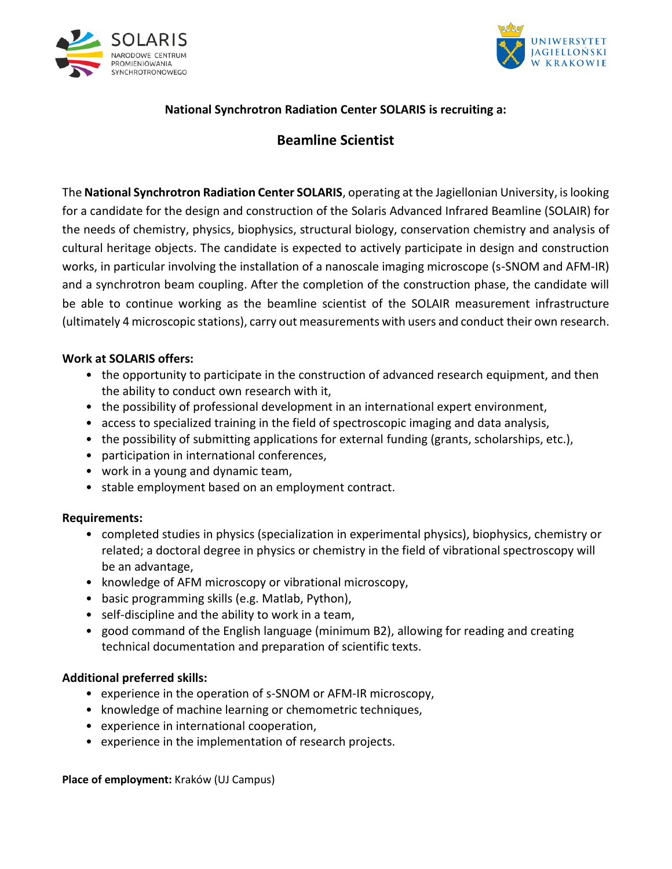



# **National Synchrotron Radiation Center SOLARIS is recruiting a:**

# **Beamline Scientist**

The **National Synchrotron Radiation Center SOLARIS**, operating at the Jagiellonian University, is looking for a candidate for the design and construction of the Solaris Advanced Infrared Beamline (SOLAIR) for the needs of chemistry, physics, biophysics, structural biology, conservation chemistry and analysis of cultural heritage objects. The candidate is expected to actively participate in design and construction works, in particular involving the installation of a nanoscale imaging microscope (s-SNOM and AFM-IR) and a synchrotron beam coupling. After the completion of the construction phase, the candidate will be able to continue working as the beamline scientist of the SOLAIR measurement infrastructure (ultimately 4 microscopic stations), carry out measurements with users and conduct their own research.

#### **Work at SOLARIS offers:**

- the opportunity to participate in the construction of advanced research equipment, and then the ability to conduct own research with it,
- the possibility of professional development in an international expert environment,
- access to specialized training in the field of spectroscopic imaging and data analysis,
- the possibility of submitting applications for external funding (grants, scholarships, etc.),
- participation in international conferences,
- work in a young and dynamic team,
- stable employment based on an employment contract.

#### **Requirements:**

- completed studies in physics (specialization in experimental physics), biophysics, chemistry or related; a doctoral degree in physics or chemistry in the field of vibrational spectroscopy will be an advantage,
- knowledge of AFM microscopy or vibrational microscopy,
- basic programming skills (e.g. Matlab, Python),
- self-discipline and the ability to work in a team,
- good command of the English language (minimum B2), allowing for reading and creating technical documentation and preparation of scientific texts.

#### **Additional preferred skills:**

- experience in the operation of s-SNOM or AFM-IR microscopy,
- knowledge of machine learning or chemometric techniques,
- experience in international cooperation,
- experience in the implementation of research projects.

**Place of employment:** Kraków (UJ Campus)